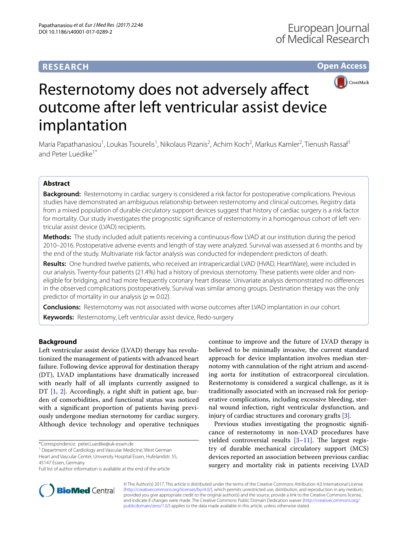# **RESEARCH**

**Open Access**



# Resternotomy does not adversely affect outcome after left ventricular assist device implantation

Maria Papathanasiou<sup>1</sup>, Loukas Tsourelis<sup>1</sup>, Nikolaus Pizanis<sup>2</sup>, Achim Koch<sup>2</sup>, Markus Kamler<sup>2</sup>, Tienush Rassaf<sup>1</sup> and Peter Luedike<sup>1\*</sup>

# **Abstract**

**Background:** Resternotomy in cardiac surgery is considered a risk factor for postoperative complications. Previous studies have demonstrated an ambiguous relationship between resternotomy and clinical outcomes. Registry data from a mixed population of durable circulatory support devices suggest that history of cardiac surgery is a risk factor for mortality. Our study investigates the prognostic signifcance of resternotomy in a homogenous cohort of left ventricular assist device (LVAD) recipients.

**Methods:** The study included adult patients receiving a continuous-fow LVAD at our institution during the period 2010–2016. Postoperative adverse events and length of stay were analyzed. Survival was assessed at 6 months and by the end of the study. Multivariate risk factor analysis was conducted for independent predictors of death.

**Results:** One hundred twelve patients, who received an intrapericardial LVAD (HVAD, HeartWare), were included in our analysis. Twenty-four patients (21.4%) had a history of previous sternotomy. These patients were older and noneligible for bridging, and had more frequently coronary heart disease. Univariate analysis demonstrated no diferences in the observed complications postoperatively. Survival was similar among groups. Destination therapy was the only predictor of mortality in our analysis ( $p = 0.02$ ).

**Conclusions:** Resternotomy was not associated with worse outcomes after LVAD implantation in our cohort.

**Keywords:** Resternotomy, Left ventricular assist device, Redo-surgery

# **Background**

Left ventricular assist device (LVAD) therapy has revolutionized the management of patients with advanced heart failure. Following device approval for destination therapy (DT), LVAD implantations have dramatically increased with nearly half of all implants currently assigned to DT [\[1,](#page-6-0) [2\]](#page-6-1). Accordingly, a right shift in patient age, burden of comorbidities, and functional status was noticed with a signifcant proportion of patients having previously undergone median sternotomy for cardiac surgery. Although device technology and operative techniques

Heart and Vascular Center, University Hospital Essen, Hufelandstr. 55, 45147 Essen, Germany

continue to improve and the future of LVAD therapy is believed to be minimally invasive, the current standard approach for device implantation involves median sternotomy with cannulation of the right atrium and ascending aorta for institution of extracorporeal circulation. Resternotomy is considered a surgical challenge, as it is traditionally associated with an increased risk for perioperative complications, including excessive bleeding, sternal wound infection, right ventricular dysfunction, and injury of cardiac structures and coronary grafts [[3](#page-6-2)].

Previous studies investigating the prognostic signifcance of resternotomy in non-LVAD procedures have yielded controversial results  $[3-11]$  $[3-11]$ . The largest registry of durable mechanical circulatory support (MCS) devices reported an association between previous cardiac surgery and mortality risk in patients receiving LVAD



© The Author(s) 2017. This article is distributed under the terms of the Creative Commons Attribution 4.0 International License [\(http://creativecommons.org/licenses/by/4.0/\)](http://creativecommons.org/licenses/by/4.0/), which permits unrestricted use, distribution, and reproduction in any medium, provided you give appropriate credit to the original author(s) and the source, provide a link to the Creative Commons license, and indicate if changes were made. The Creative Commons Public Domain Dedication waiver ([http://creativecommons.org/](http://creativecommons.org/publicdomain/zero/1.0/) [publicdomain/zero/1.0/](http://creativecommons.org/publicdomain/zero/1.0/)) applies to the data made available in this article, unless otherwise stated.

<sup>\*</sup>Correspondence: peter.Luedike@uk-essen.de 1

<sup>&</sup>lt;sup>1</sup> Department of Cardiology and Vascular Medicine, West German

Full list of author information is available at the end of the article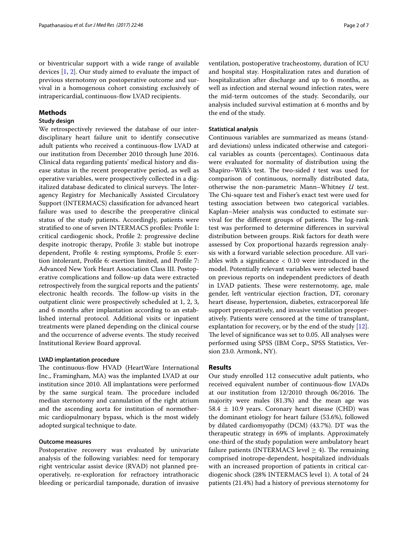or biventricular support with a wide range of available devices [[1](#page-6-0), [2](#page-6-1)]. Our study aimed to evaluate the impact of previous sternotomy on postoperative outcome and survival in a homogenous cohort consisting exclusively of intrapericardial, continuous-fow LVAD recipients.

# **Methods**

### **Study design**

We retrospectively reviewed the database of our interdisciplinary heart failure unit to identify consecutive adult patients who received a continuous-fow LVAD at our institution from December 2010 through June 2016. Clinical data regarding patients' medical history and disease status in the recent preoperative period, as well as operative variables, were prospectively collected in a digitalized database dedicated to clinical surveys. The Interagency Registry for Mechanically Assisted Circulatory Support (INTERMACS) classifcation for advanced heart failure was used to describe the preoperative clinical status of the study patients. Accordingly, patients were stratifed to one of seven INTERMACS profles: Profle 1: critical cardiogenic shock, Profle 2: progressive decline despite inotropic therapy, Profle 3: stable but inotrope dependent, Profle 4: resting symptoms, Profle 5: exertion intolerant, Profle 6: exertion limited, and Profle 7: Advanced New York Heart Association Class III. Postoperative complications and follow-up data were extracted retrospectively from the surgical reports and the patients' electronic health records. The follow-up visits in the outpatient clinic were prospectively scheduled at 1, 2, 3, and 6 months after implantation according to an established internal protocol. Additional visits or inpatient treatments were planed depending on the clinical course and the occurrence of adverse events. The study received Institutional Review Board approval.

#### **LVAD implantation procedure**

The continuous-flow HVAD (HeartWare International Inc., Framingham, MA) was the implanted LVAD at our institution since 2010. All implantations were performed by the same surgical team. The procedure included median sternotomy and cannulation of the right atrium and the ascending aorta for institution of normothermic cardiopulmonary bypass, which is the most widely adopted surgical technique to date.

# **Outcome measures**

Postoperative recovery was evaluated by univariate analysis of the following variables: need for temporary right ventricular assist device (RVAD) not planned preoperatively, re-exploration for refractory intrathoracic bleeding or pericardial tamponade, duration of invasive ventilation, postoperative tracheostomy, duration of ICU and hospital stay. Hospitalization rates and duration of hospitalization after discharge and up to 6 months, as well as infection and sternal wound infection rates, were the mid-term outcomes of the study. Secondarily, our analysis included survival estimation at 6 months and by the end of the study.

#### **Statistical analysis**

Continuous variables are summarized as means (standard deviations) unless indicated otherwise and categorical variables as counts (percentages). Continuous data were evaluated for normality of distribution using the Shapiro–Wilk's test. The two-sided *t* test was used for comparison of continuous, normally distributed data, otherwise the non-parametric Mann–Whitney *U* test. The Chi-square test and Fisher's exact test were used for testing association between two categorical variables. Kaplan–Meier analysis was conducted to estimate survival for the different groups of patients. The log-rank test was performed to determine diferences in survival distribution between groups. Risk factors for death were assessed by Cox proportional hazards regression analysis with a forward variable selection procedure. All variables with a significance  $< 0.10$  were introduced in the model. Potentially relevant variables were selected based on previous reports on independent predictors of death in LVAD patients. These were resternotomy, age, male gender, left ventricular ejection fraction, DT, coronary heart disease, hypertension, diabetes, extracorporeal life support preoperatively, and invasive ventilation preoperatively. Patients were censored at the time of transplant, explantation for recovery, or by the end of the study [\[12](#page-6-4)]. The level of significance was set to 0.05. All analyses were performed using SPSS (IBM Corp., SPSS Statistics, Version 23.0. Armonk, NY).

# **Results**

Our study enrolled 112 consecutive adult patients, who received equivalent number of continuous-fow LVADs at our institution from 12/2010 through 06/2016. The majority were males (81.3%) and the mean age was 58.4  $\pm$  10.9 years. Coronary heart disease (CHD) was the dominant etiology for heart failure (53.6%), followed by dilated cardiomyopathy (DCM) (43.7%). DT was the therapeutic strategy in 69% of implants. Approximately one-third of the study population were ambulatory heart failure patients (INTERMACS level  $\geq$  4). The remaining comprised inotrope-dependent, hospitalized individuals with an increased proportion of patients in critical cardiogenic shock (28% INTERMACS level 1). A total of 24 patients (21.4%) had a history of previous sternotomy for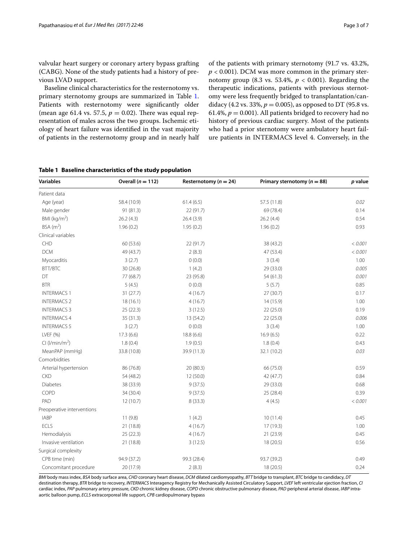valvular heart surgery or coronary artery bypass grafting (CABG). None of the study patients had a history of previous LVAD support.

Baseline clinical characteristics for the resternotomy vs. primary sternotomy groups are summarized in Table [1](#page-2-0). Patients with resternotomy were signifcantly older (mean age 61.4 vs. 57.5,  $p = 0.02$ ). There was equal representation of males across the two groups. Ischemic etiology of heart failure was identifed in the vast majority of patients in the resternotomy group and in nearly half of the patients with primary sternotomy (91.7 vs. 43.2%,  $p < 0.001$ ). DCM was more common in the primary sternotomy group (8.3 vs. 53.4%,  $p < 0.001$ ). Regarding the therapeutic indications, patients with previous sternotomy were less frequently bridged to transplantation/candidacy (4.2 vs. 33%,  $p = 0.005$ ), as opposed to DT (95.8 vs. 61.4%,  $p = 0.001$ ). All patients bridged to recovery had no history of previous cardiac surgery. Most of the patients who had a prior sternotomy were ambulatory heart failure patients in INTERMACS level 4. Conversely, in the

| <b>Variables</b>           | Overall $(n = 112)$ | Resternotomy ( $n = 24$ ) | Primary sternotomy ( $n = 88$ ) | p value |
|----------------------------|---------------------|---------------------------|---------------------------------|---------|
| Patient data               |                     |                           |                                 |         |
| Age (year)                 | 58.4 (10.9)         | 61.4(6.5)                 | 57.5 (11.8)                     | 0.02    |
| Male gender                | 91 (81.3)           | 22 (91.7)                 | 69 (78.4)                       | 0.14    |
| BMI ( $kg/m2$ )            | 26.2(4.3)           | 26.4 (3.9)                | 26.2(4.4)                       | 0.54    |
| BSA(m <sup>2</sup> )       | 1.96(0.2)           | 1.95(0.2)                 | 1.96(0.2)                       | 0.93    |
| Clinical variables         |                     |                           |                                 |         |
| CHD                        | 60 (53.6)           | 22 (91.7)                 | 38 (43.2)                       | < 0.001 |
| <b>DCM</b>                 | 49 (43.7)           | 2(8.3)                    | 47 (53.4)                       | < 0.001 |
| Myocarditis                | 3(2.7)              | 0(0.0)                    | 3(3.4)                          | 1.00    |
| BTT/BTC                    | 30 (26.8)           | 1(4.2)                    | 29 (33.0)                       | 0.005   |
| DT                         | 77 (68.7)           | 23 (95.8)                 | 54(61.3)                        | 0.001   |
| <b>BTR</b>                 | 5(4.5)              | 0(0.0)                    | 5(5.7)                          | 0.85    |
| <b>INTERMACS 1</b>         | 31(27.7)            | 4(16.7)                   | 27 (30.7)                       | 0.17    |
| <b>INTERMACS 2</b>         | 18(16.1)            | 4(16.7)                   | 14 (15.9)                       | 1.00    |
| <b>INTERMACS 3</b>         | 25(22.3)            | 3(12.5)                   | 22(25.0)                        | 0.19    |
| <b>INTERMACS 4</b>         | 35 (31.3)           | 13 (54.2)                 | 22(25.0)                        | 0.006   |
| <b>INTERMACS 5</b>         | 3(2.7)              | 0(0.0)                    | 3(3.4)                          | 1.00    |
| LVEF (%)                   | 17.3(6.6)           | 18.8(6.6)                 | 16.9(6.5)                       | 0.22    |
| Cl (l/min/m <sup>2</sup> ) | 1.8(0.4)            | 1.9(0.5)                  | 1.8(0.4)                        | 0.43    |
| MeanPAP (mmHg)             | 33.8 (10.8)         | 39.9 (11.3)               | 32.1 (10.2)                     | 0.03    |
| Comorbidities              |                     |                           |                                 |         |
| Arterial hypertension      | 86 (76.8)           | 20 (80.3)                 | 66 (75.0)                       | 0.59    |
| <b>CKD</b>                 | 54 (48.2)           | 12 (50.0)                 | 42 (47.7)                       | 0.84    |
| <b>Diabetes</b>            | 38 (33.9)           | 9(37.5)                   | 29 (33.0)                       | 0.68    |
| COPD                       | 34 (30.4)           | 9(37.5)                   | 25 (28.4)                       | 0.39    |
| PAD                        | 12(10.7)            | 8(33.3)                   | 4(4.5)                          | < 0.001 |
| Preoperative interventions |                     |                           |                                 |         |
| <b>IABP</b>                | 11(9.8)             | 1(4.2)                    | 10(11.4)                        | 0.45    |
| ECLS                       | 21(18.8)            | 4(16.7)                   | 17(19.3)                        | 1.00    |
| Hemodialysis               | 25(22.3)            | 4(16.7)                   | 21 (23.9)                       | 0.45    |
| Invasive ventilation       | 21 (18.8)           | 3(12.5)                   | 18 (20.5)                       | 0.56    |
| Surgical complexity        |                     |                           |                                 |         |
| CPB time (min)             | 94.9 (37.2)         | 99.3 (28.4)               | 93.7 (39.2)                     | 0.49    |
| Concomitant procedure      | 20 (17.9)           | 2(8.3)                    | 18 (20.5)                       | 0.24    |

<span id="page-2-0"></span>**Table 1 Baseline characteristics of the study population**

*BMI* body mass index, *BSA* body surface area, *CHD* coronary heart disease, *DCM* dilated cardiomyopathy, *BTT* bridge to transplant, *BTC* bridge to candidacy, *DT* destination therapy, *BTR* bridge to recovery, *INTERMACS* Interagency Registry for Mechanically Assisted Circulatory Support, *LVEF* left ventricular ejection fraction, *CI* cardiac index, *PAP* pulmonary artery pressure, *CKD* chronic kidney disease, *COPD* chronic obstructive pulmonary disease, *PAD* peripheral arterial disease, *IABP* intraaortic balloon pump, *ECLS* extracorporeal life support, *CPB* cardiopulmonary bypass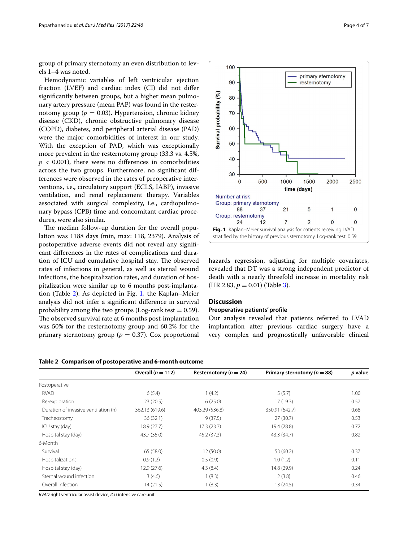group of primary sternotomy an even distribution to levels 1–4 was noted.

Hemodynamic variables of left ventricular ejection fraction (LVEF) and cardiac index (CI) did not difer signifcantly between groups, but a higher mean pulmonary artery pressure (mean PAP) was found in the resternotomy group ( $p = 0.03$ ). Hypertension, chronic kidney disease (CKD), chronic obstructive pulmonary disease (COPD), diabetes, and peripheral arterial disease (PAD) were the major comorbidities of interest in our study. With the exception of PAD, which was exceptionally more prevalent in the resternotomy group (33.3 vs. 4.5%,  $p < 0.001$ ), there were no differences in comorbidities across the two groups. Furthermore, no signifcant differences were observed in the rates of preoperative interventions, i.e., circulatory support (ECLS, IABP), invasive ventilation, and renal replacement therapy. Variables associated with surgical complexity, i.e., cardiopulmonary bypass (CPB) time and concomitant cardiac procedures, were also similar.

The median follow-up duration for the overall population was 1188 days (min, max: 118, 2379). Analysis of postoperative adverse events did not reveal any signifcant diferences in the rates of complications and duration of ICU and cumulative hospital stay. The observed rates of infections in general, as well as sternal wound infections, the hospitalization rates, and duration of hospitalization were similar up to 6 months post-implantation (Table [2](#page-3-0)). As depicted in Fig. [1,](#page-3-1) the Kaplan–Meier analysis did not infer a signifcant diference in survival probability among the two groups (Log-rank test  $= 0.59$ ). The observed survival rate at 6 months post-implantation was 50% for the resternotomy group and 60.2% for the primary sternotomy group ( $p = 0.37$ ). Cox proportional

<span id="page-3-0"></span>



<span id="page-3-1"></span>hazards regression, adjusting for multiple covariates, revealed that DT was a strong independent predictor of death with a nearly threefold increase in mortality risk (HR 2.83,  $p = 0.01$ ) (Table [3](#page-4-0)).

# **Discussion**

#### **Preoperative patients' profle**

Our analysis revealed that patients referred to LVAD implantation after previous cardiac surgery have a very complex and prognostically unfavorable clinical

|                                      | Overall $(n = 112)$ | Resternotomy ( $n = 24$ ) | Primary sternotomy ( $n = 88$ ) | p value |
|--------------------------------------|---------------------|---------------------------|---------------------------------|---------|
| Postoperative                        |                     |                           |                                 |         |
| RVAD                                 | 6(5.4)              | 1(4.2)                    | 5(5.7)                          | 1.00    |
| Re-exploration                       | 23(20.5)            | 6(25.0)                   | 17(19.3)                        | 0.57    |
| Duration of invasive ventilation (h) | 362.13 (619.6)      | 403.29 (536.8)            | 350.91 (642.7)                  | 0.68    |
| Tracheostomy                         | 36(32.1)            | 9(37.5)                   | 27(30.7)                        | 0.53    |
| ICU stay (day)                       | 18.9(27.7)          | 17.3(23.7)                | 19.4 (28.8)                     | 0.72    |
| Hospital stay (day)                  | 43.7 (35.0)         | 45.2 (37.3)               | 43.3 (34.7)                     | 0.82    |
| 6-Month                              |                     |                           |                                 |         |
| Survival                             | 65 (58.0)           | 12(50.0)                  | 53 (60.2)                       | 0.37    |
| Hospitalizations                     | 0.9(1.2)            | 0.5(0.9)                  | 1.0(1.2)                        | 0.11    |
| Hospital stay (day)                  | 12.9(27.6)          | 4.3(8.4)                  | 14.8 (29.9)                     | 0.24    |
| Sternal wound infection              | 3(4.6)              | 1(8.3)                    | 2(3.8)                          | 0.46    |
| Overall infection                    | 14(21.5)            | 1(8.3)                    | 13(24.5)                        | 0.34    |

*RVAD* right ventricular assist device, *ICU* intensive care unit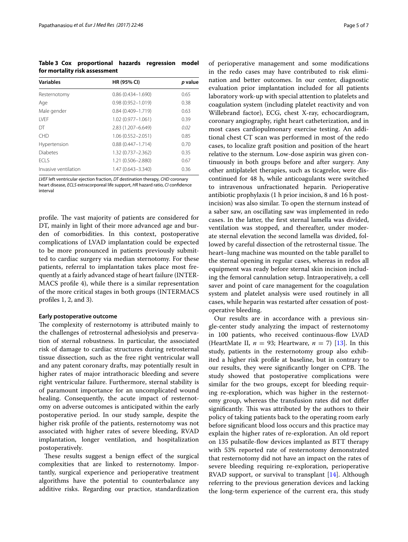<span id="page-4-0"></span>**Table 3 Cox proportional hazards regression model for mortality risk assessment**

| <b>Variables</b>     | <b>HR (95% CI)</b>    | <i>p</i> value |
|----------------------|-----------------------|----------------|
| Resternotomy         | $0.86(0.434 - 1.690)$ | 0.65           |
| Age                  | $0.98(0.952 - 1.019)$ | 0.38           |
| Male gender          | $0.84(0.409 - 1.719)$ | 0.63           |
| <b>IVFF</b>          | $1.02(0.977 - 1.061)$ | 0.39           |
| DT                   | 2.83 (1.207-6.649)    | 0.02           |
| <b>CHD</b>           | $1.06(0.552 - 2.051)$ | 0.85           |
| Hypertension         | $0.88(0.447 - 1.714)$ | 0.70           |
| <b>Diabetes</b>      | 1.32 (0.737-2.362)    | 0.35           |
| FCI S                | 1.21 (0.506-2.880)    | 0.67           |
| Invasive ventilation | 1.47 (0.643-3.340)    | 0.36           |
|                      |                       |                |

*LVEF* left ventricular ejection fraction, *DT* destination therapy, *CHD* coronary heart disease, *ECLS* extracorporeal life support, *HR* hazard ratio, *CI* confdence interval

profile. The vast majority of patients are considered for DT, mainly in light of their more advanced age and burden of comorbidities. In this context, postoperative complications of LVAD implantation could be expected to be more pronounced in patients previously submitted to cardiac surgery via median sternotomy. For these patients, referral to implantation takes place most frequently at a fairly advanced stage of heart failure (INTER-MACS profle 4), while there is a similar representation of the more critical stages in both groups (INTERMACS profles 1, 2, and 3).

#### **Early postoperative outcome**

The complexity of resternotomy is attributed mainly to the challenges of retrosternal adhesiolysis and preservation of sternal robustness. In particular, the associated risk of damage to cardiac structures during retrosternal tissue dissection, such as the free right ventricular wall and any patent coronary drafts, may potentially result in higher rates of major intrathoracic bleeding and severe right ventricular failure. Furthermore, sternal stability is of paramount importance for an uncomplicated wound healing. Consequently, the acute impact of resternotomy on adverse outcomes is anticipated within the early postoperative period. In our study sample, despite the higher risk profle of the patients, resternotomy was not associated with higher rates of severe bleeding, RVAD implantation, longer ventilation, and hospitalization postoperatively.

These results suggest a benign effect of the surgical complexities that are linked to resternotomy. Importantly, surgical experience and perioperative treatment algorithms have the potential to counterbalance any additive risks. Regarding our practice, standardization

of perioperative management and some modifcations in the redo cases may have contributed to risk elimination and better outcomes. In our center, diagnostic evaluation prior implantation included for all patients laboratory work-up with special attention to platelets and coagulation system (including platelet reactivity and von Willebrand factor), ECG, chest X-ray, echocardiogram, coronary angiography, right heart catheterization, and in most cases cardiopulmonary exercise testing. An additional chest CT scan was performed in most of the redo cases, to localize graft position and position of the heart relative to the sternum. Low-dose aspirin was given continuously in both groups before and after surgery. Any other antiplatelet therapies, such as ticagrelor, were discontinued for 48 h, while anticoagulants were switched to intravenous unfractionated heparin. Perioperative antibiotic prophylaxis (1 h prior incision, 8 and 16 h postincision) was also similar. To open the sternum instead of a saber saw, an oscillating saw was implemented in redo cases. In the latter, the frst sternal lamella was divided, ventilation was stopped, and thereafter, under moderate sternal elevation the second lamella was divided, followed by careful dissection of the retrosternal tissue. The heart–lung machine was mounted on the table parallel to the sternal opening in regular cases, whereas in redos all equipment was ready before sternal skin incision including the femoral cannulation setup. Intraoperatively, a cell saver and point of care management for the coagulation system and platelet analysis were used routinely in all cases, while heparin was restarted after cessation of postoperative bleeding.

Our results are in accordance with a previous single-center study analyzing the impact of resternotomy in 100 patients, who received continuous-fow LVAD (HeartMate II,  $n = 93$ ; Heartware,  $n = 7$ ) [[13](#page-6-5)]. In this study, patients in the resternotomy group also exhibited a higher risk profle at baseline, but in contrary to our results, they were significantly longer on CPB. The study showed that postoperative complications were similar for the two groups, except for bleeding requiring re-exploration, which was higher in the resternotomy group, whereas the transfusion rates did not difer significantly. This was attributed by the authors to their policy of taking patients back to the operating room early before signifcant blood loss occurs and this practice may explain the higher rates of re-exploration. An old report on 135 pulsatile-fow devices implanted as BTT therapy with 53% reported rate of resternotomy demonstrated that resternotomy did not have an impact on the rates of severe bleeding requiring re-exploration, perioperative RVAD support, or survival to transplant  $[14]$ . Although referring to the previous generation devices and lacking the long-term experience of the current era, this study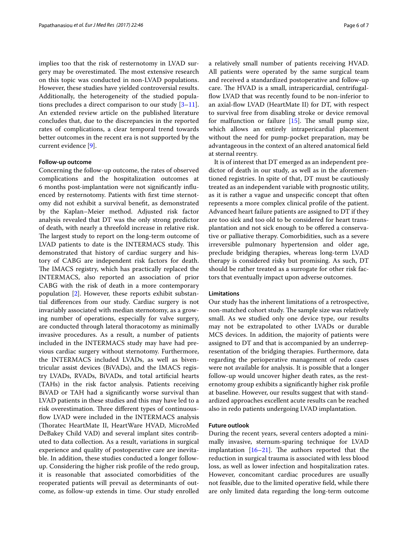implies too that the risk of resternotomy in LVAD surgery may be overestimated. The most extensive research on this topic was conducted in non-LVAD populations. However, these studies have yielded controversial results. Additionally, the heterogeneity of the studied populations precludes a direct comparison to our study  $[3-11]$  $[3-11]$ . An extended review article on the published literature concludes that, due to the discrepancies in the reported rates of complications, a clear temporal trend towards better outcomes in the recent era is not supported by the current evidence [[9\]](#page-6-7).

### **Follow‑up outcome**

Concerning the follow-up outcome, the rates of observed complications and the hospitalization outcomes at 6 months post-implantation were not signifcantly infuenced by resternotomy. Patients with frst time sternotomy did not exhibit a survival beneft, as demonstrated by the Kaplan–Meier method. Adjusted risk factor analysis revealed that DT was the only strong predictor of death, with nearly a threefold increase in relative risk. The largest study to report on the long-term outcome of LVAD patients to date is the INTERMACS study. This demonstrated that history of cardiac surgery and history of CABG are independent risk factors for death. The IMACS registry, which has practically replaced the INTERMACS, also reported an association of prior CABG with the risk of death in a more contemporary population [\[2](#page-6-1)]. However, these reports exhibit substantial diferences from our study. Cardiac surgery is not invariably associated with median sternotomy, as a growing number of operations, especially for valve surgery, are conducted through lateral thoracotomy as minimally invasive procedures. As a result, a number of patients included in the INTERMACS study may have had previous cardiac surgery without sternotomy. Furthermore, the INTERMACS included LVADs, as well as biventricular assist devices (BiVADs), and the IMACS registry LVADs, RVADs, BiVADs, and total artifcial hearts (TAHs) in the risk factor analysis. Patients receiving BiVAD or TAH had a signifcantly worse survival than LVAD patients in these studies and this may have led to a risk overestimation. Three different types of continuousflow LVAD were included in the INTERMACS analysis (Thoratec HeartMate II, HeartWare HVAD, MicroMed DeBakey Child VAD) and several implant sites contributed to data collection. As a result, variations in surgical experience and quality of postoperative care are inevitable. In addition, these studies conducted a longer followup. Considering the higher risk profle of the redo group, it is reasonable that associated comorbidities of the reoperated patients will prevail as determinants of outcome, as follow-up extends in time. Our study enrolled a relatively small number of patients receiving HVAD. All patients were operated by the same surgical team and received a standardized postoperative and follow-up care. The HVAD is a small, intrapericardial, centrifugalflow LVAD that was recently found to be non-inferior to an axial-fow LVAD (HeartMate II) for DT, with respect to survival free from disabling stroke or device removal for malfunction or failure  $[15]$  $[15]$ . The small pump size, which allows an entirely intrapericardial placement without the need for pump-pocket preparation, may be advantageous in the context of an altered anatomical feld at sternal reentry.

It is of interest that DT emerged as an independent predictor of death in our study, as well as in the aforementioned registries. In spite of that, DT must be cautiously treated as an independent variable with prognostic utility, as it is rather a vague and unspecifc concept that often represents a more complex clinical profle of the patient. Advanced heart failure patients are assigned to DT if they are too sick and too old to be considered for heart transplantation and not sick enough to be offered a conservative or palliative therapy. Comorbidities, such as a severe irreversible pulmonary hypertension and older age, preclude bridging therapies, whereas long-term LVAD therapy is considered risky but promising. As such, DT should be rather treated as a surrogate for other risk factors that eventually impact upon adverse outcomes.

# **Limitations**

Our study has the inherent limitations of a retrospective, non-matched cohort study. The sample size was relatively small. As we studied only one device type, our results may not be extrapolated to other LVADs or durable MCS devices. In addition, the majority of patients were assigned to DT and that is accompanied by an underrepresentation of the bridging therapies. Furthermore, data regarding the perioperative management of redo cases were not available for analysis. It is possible that a longer follow-up would uncover higher death rates, as the resternotomy group exhibits a signifcantly higher risk profle at baseline. However, our results suggest that with standardized approaches excellent acute results can be reached also in redo patients undergoing LVAD implantation.

# **Future outlook**

During the recent years, several centers adopted a minimally invasive, sternum-sparing technique for LVAD implantation  $[16–21]$  $[16–21]$  $[16–21]$  $[16–21]$ . The authors reported that the reduction in surgical trauma is associated with less blood loss, as well as lower infection and hospitalization rates. However, concomitant cardiac procedures are usually not feasible, due to the limited operative feld, while there are only limited data regarding the long-term outcome